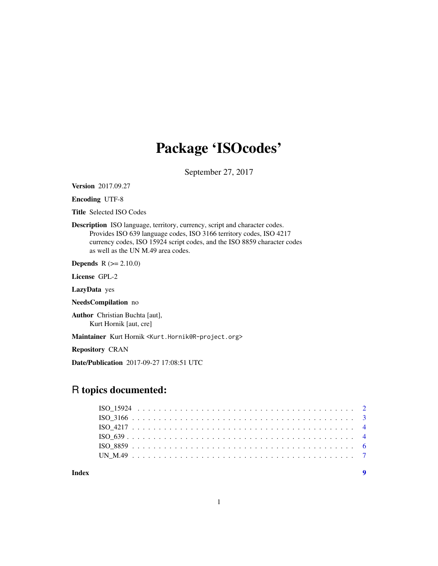## Package 'ISOcodes'

September 27, 2017

<span id="page-0-0"></span>Version 2017.09.27

Encoding UTF-8

Title Selected ISO Codes

Description ISO language, territory, currency, script and character codes. Provides ISO 639 language codes, ISO 3166 territory codes, ISO 4217 currency codes, ISO 15924 script codes, and the ISO 8859 character codes as well as the UN M.49 area codes.

**Depends**  $R$  ( $>= 2.10.0$ )

License GPL-2

LazyData yes

NeedsCompilation no

Author Christian Buchta [aut], Kurt Hornik [aut, cre]

Maintainer Kurt Hornik <Kurt.Hornik@R-project.org>

Repository CRAN

Date/Publication 2017-09-27 17:08:51 UTC

### R topics documented:

**Index** [9](#page-8-0)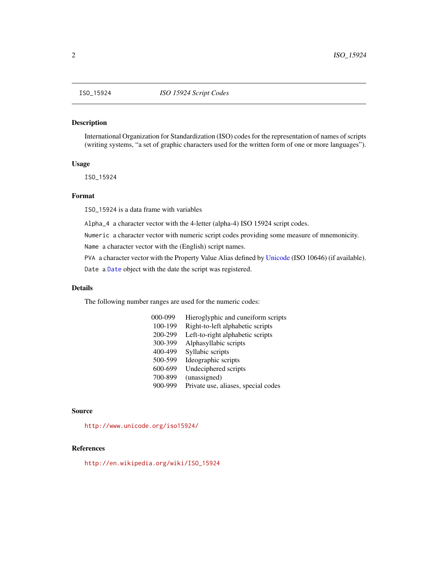#### <span id="page-1-0"></span>Description

International Organization for Standardization (ISO) codes for the representation of names of scripts (writing systems, "a set of graphic characters used for the written form of one or more languages").

#### Usage

ISO\_15924

#### Format

ISO\_15924 is a data frame with variables

Alpha\_4 a character vector with the 4-letter (alpha-4) ISO 15924 script codes.

Numeric a character vector with numeric script codes providing some measure of mnemonicity.

Name a character vector with the (English) script names.

PVA a character vector with the Property Value Alias defined by [Unicode](#page-0-0) (ISO 10646) (if available).

Date a [Date](#page-0-0) object with the date the script was registered.

#### Details

The following number ranges are used for the numeric codes:

| 000-099 | Hieroglyphic and cuneiform scripts  |
|---------|-------------------------------------|
| 100-199 | Right-to-left alphabetic scripts    |
| 200-299 | Left-to-right alphabetic scripts    |
| 300-399 | Alphasyllabic scripts               |
| 400-499 | Syllabic scripts                    |
| 500-599 | Ideographic scripts                 |
| 600-699 | Undeciphered scripts                |
| 700-899 | (unassigned)                        |
| 900-999 | Private use, aliases, special codes |

#### Source

<http://www.unicode.org/iso15924/>

#### References

[http://en.wikipedia.org/wiki/ISO\\_15924](http://en.wikipedia.org/wiki/ISO_15924)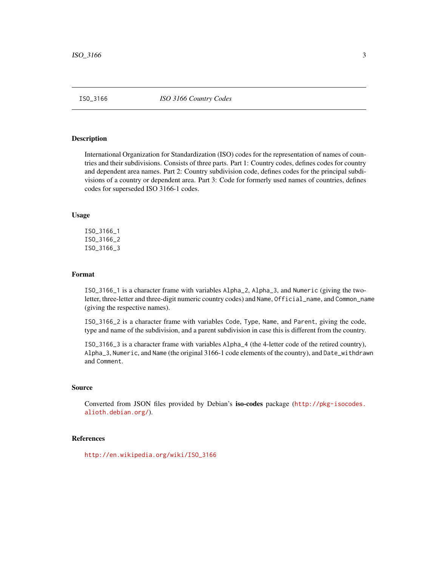<span id="page-2-0"></span>

#### <span id="page-2-1"></span>Description

International Organization for Standardization (ISO) codes for the representation of names of countries and their subdivisions. Consists of three parts. Part 1: Country codes, defines codes for country and dependent area names. Part 2: Country subdivision code, defines codes for the principal subdivisions of a country or dependent area. Part 3: Code for formerly used names of countries, defines codes for superseded ISO 3166-1 codes.

#### Usage

ISO\_3166\_1 ISO\_3166\_2 ISO\_3166\_3

#### Format

ISO\_3166\_1 is a character frame with variables Alpha\_2, Alpha\_3, and Numeric (giving the twoletter, three-letter and three-digit numeric country codes) and Name, Official\_name, and Common\_name (giving the respective names).

ISO\_3166\_2 is a character frame with variables Code, Type, Name, and Parent, giving the code, type and name of the subdivision, and a parent subdivision in case this is different from the country.

ISO\_3166\_3 is a character frame with variables Alpha\_4 (the 4-letter code of the retired country), Alpha\_3, Numeric, and Name (the original 3166-1 code elements of the country), and Date\_withdrawn and Comment.

#### Source

Converted from JSON files provided by Debian's iso-codes package ([http://pkg-isocodes.](http://pkg-isocodes.alioth.debian.org/) [alioth.debian.org/](http://pkg-isocodes.alioth.debian.org/)).

#### References

[http://en.wikipedia.org/wiki/ISO\\_3166](http://en.wikipedia.org/wiki/ISO_3166)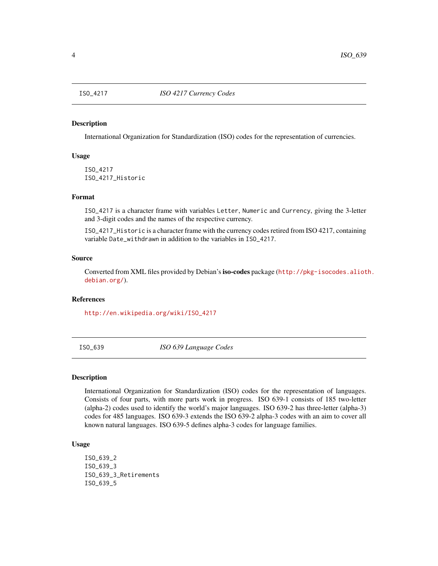<span id="page-3-0"></span>

#### Description

International Organization for Standardization (ISO) codes for the representation of currencies.

#### Usage

ISO\_4217 ISO\_4217\_Historic

#### Format

ISO\_4217 is a character frame with variables Letter, Numeric and Currency, giving the 3-letter and 3-digit codes and the names of the respective currency.

ISO\_4217\_Historic is a character frame with the currency codes retired from ISO 4217, containing variable Date\_withdrawn in addition to the variables in ISO\_4217.

#### Source

Converted from XML files provided by Debian'siso-codes package ([http://pkg-isocodes.aliot](http://pkg-isocodes.alioth.debian.org/)h. [debian.org/](http://pkg-isocodes.alioth.debian.org/)).

#### References

[http://en.wikipedia.org/wiki/ISO\\_4217](http://en.wikipedia.org/wiki/ISO_4217)

ISO\_639 *ISO 639 Language Codes*

#### Description

International Organization for Standardization (ISO) codes for the representation of languages. Consists of four parts, with more parts work in progress. ISO 639-1 consists of 185 two-letter (alpha-2) codes used to identify the world's major languages. ISO 639-2 has three-letter (alpha-3) codes for 485 languages. ISO 639-3 extends the ISO 639-2 alpha-3 codes with an aim to cover all known natural languages. ISO 639-5 defines alpha-3 codes for language families.

#### Usage

ISO\_639\_2 ISO\_639\_3 ISO\_639\_3\_Retirements ISO\_639\_5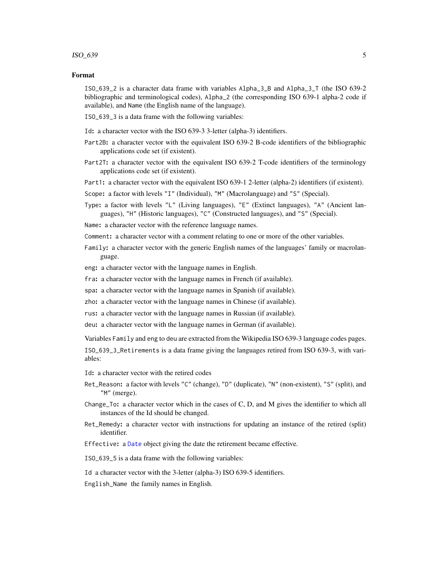#### <span id="page-4-0"></span> $ISO\_639$  5

#### Format

ISO\_639\_2 is a character data frame with variables Alpha\_3\_B and Alpha\_3\_T (the ISO 639-2 bibliographic and terminological codes), Alpha\_2 (the corresponding ISO 639-1 alpha-2 code if available), and Name (the English name of the language).

ISO\_639\_3 is a data frame with the following variables:

Id: a character vector with the ISO 639-3 3-letter (alpha-3) identifiers.

- Part2B: a character vector with the equivalent ISO 639-2 B-code identifiers of the bibliographic applications code set (if existent).
- Part2T: a character vector with the equivalent ISO 639-2 T-code identifiers of the terminology applications code set (if existent).

Part1: a character vector with the equivalent ISO 639-1 2-letter (alpha-2) identifiers (if existent).

Scope: a factor with levels "I" (Individual), "M" (Macrolanguage) and "S" (Special).

Type: a factor with levels "L" (Living languages), "E" (Extinct languages), "A" (Ancient languages), "H" (Historic languages), "C" (Constructed languages), and "S" (Special).

Name: a character vector with the reference language names.

Comment: a character vector with a comment relating to one or more of the other variables.

- Family: a character vector with the generic English names of the languages' family or macrolanguage.
- eng: a character vector with the language names in English.
- fra: a character vector with the language names in French (if available).
- spa: a character vector with the language names in Spanish (if available).
- zho: a character vector with the language names in Chinese (if available).
- rus: a character vector with the language names in Russian (if available).

deu: a character vector with the language names in German (if available).

Variables Family and eng to deu are extracted from the Wikipedia ISO 639-3 language codes pages.

ISO\_639\_3\_Retirements is a data frame giving the languages retired from ISO 639-3, with variables:

- Id: a character vector with the retired codes
- Ret\_Reason: a factor with levels "C" (change), "D" (duplicate), "N" (non-existent), "S" (split), and "M" (merge).
- Change\_To: a character vector which in the cases of C, D, and M gives the identifier to which all instances of the Id should be changed.
- Ret\_Remedy: a character vector with instructions for updating an instance of the retired (split) identifier.

Effective: a [Date](#page-0-0) object giving the date the retirement became effective.

ISO\_639\_5 is a data frame with the following variables:

Id a character vector with the 3-letter (alpha-3) ISO 639-5 identifiers.

English\_Name the family names in English.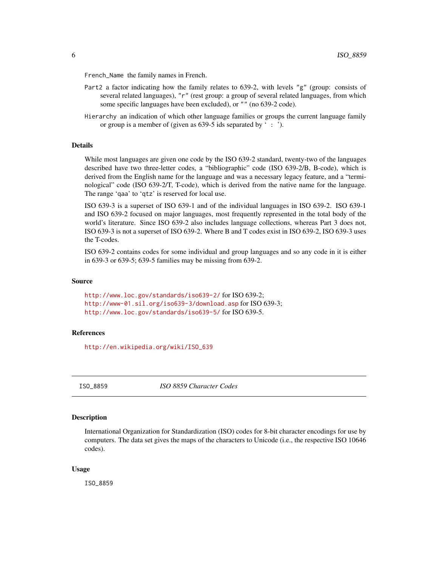<span id="page-5-0"></span>French\_Name the family names in French.

- Part2 a factor indicating how the family relates to 639-2, with levels "g" (group: consists of several related languages), "r" (rest group: a group of several related languages, from which some specific languages have been excluded), or "" (no 639-2 code).
- Hierarchy an indication of which other language families or groups the current language family or group is a member of (given as 639-5 ids separated by ' : ').

#### Details

While most languages are given one code by the ISO 639-2 standard, twenty-two of the languages described have two three-letter codes, a "bibliographic" code (ISO 639-2/B, B-code), which is derived from the English name for the language and was a necessary legacy feature, and a "terminological" code (ISO 639-2/T, T-code), which is derived from the native name for the language. The range 'qaa' to 'qtz' is reserved for local use.

ISO 639-3 is a superset of ISO 639-1 and of the individual languages in ISO 639-2. ISO 639-1 and ISO 639-2 focused on major languages, most frequently represented in the total body of the world's literature. Since ISO 639-2 also includes language collections, whereas Part 3 does not, ISO 639-3 is not a superset of ISO 639-2. Where B and T codes exist in ISO 639-2, ISO 639-3 uses the T-codes.

ISO 639-2 contains codes for some individual and group languages and so any code in it is either in 639-3 or 639-5; 639-5 families may be missing from 639-2.

#### Source

<http://www.loc.gov/standards/iso639-2/> for ISO 639-2; <http://www-01.sil.org/iso639-3/download.asp> for ISO 639-3; <http://www.loc.gov/standards/iso639-5/> for ISO 639-5.

#### **References**

[http://en.wikipedia.org/wiki/ISO\\_639](http://en.wikipedia.org/wiki/ISO_639)

ISO\_8859 *ISO 8859 Character Codes*

#### **Description**

International Organization for Standardization (ISO) codes for 8-bit character encodings for use by computers. The data set gives the maps of the characters to Unicode (i.e., the respective ISO 10646 codes).

#### Usage

ISO\_8859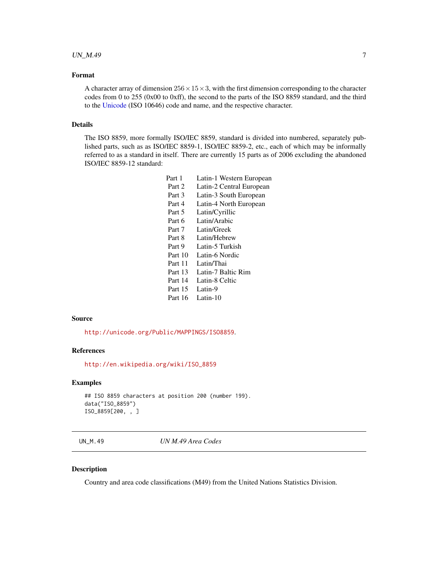#### <span id="page-6-0"></span> $UN\_M.49$  7

#### Format

A character array of dimension  $256 \times 15 \times 3$ , with the first dimension corresponding to the character codes from 0 to 255 (0x00 to 0xff), the second to the parts of the ISO 8859 standard, and the third to the [Unicode](#page-0-0) (ISO 10646) code and name, and the respective character.

#### Details

The ISO 8859, more formally ISO/IEC 8859, standard is divided into numbered, separately published parts, such as as ISO/IEC 8859-1, ISO/IEC 8859-2, etc., each of which may be informally referred to as a standard in itself. There are currently 15 parts as of 2006 excluding the abandoned ISO/IEC 8859-12 standard:

> Part 1 Latin-1 Western European Part 2 Latin-2 Central European Part 3 Latin-3 South European Part 4 Latin-4 North European Part 5 Latin/Cyrillic Part 6 Latin/Arabic Part 7 Latin/Greek Part 8 Latin/Hebrew Part 9 Latin-5 Turkish Part 10 Latin-6 Nordic Part 11 Latin/Thai Part 13 Latin-7 Baltic Rim Part 14 Latin-8 Celtic Part 15 Latin-9 Part 16 Latin-10

#### Source

<http://unicode.org/Public/MAPPINGS/ISO8859>.

#### References

[http://en.wikipedia.org/wiki/ISO\\_8859](http://en.wikipedia.org/wiki/ISO_8859)

#### Examples

```
## ISO 8859 characters at position 200 (number 199).
data("ISO_8859")
ISO_8859[200, , ]
```
UN\_M.49 *UN M.49 Area Codes*

#### Description

Country and area code classifications (M49) from the United Nations Statistics Division.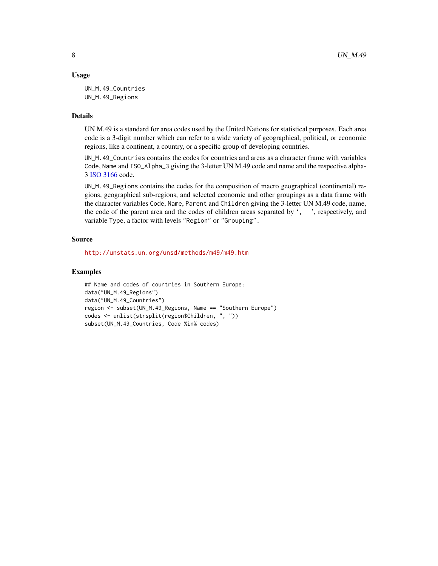#### <span id="page-7-0"></span>Usage

UN\_M.49\_Countries UN\_M.49\_Regions

#### Details

UN M.49 is a standard for area codes used by the United Nations for statistical purposes. Each area code is a 3-digit number which can refer to a wide variety of geographical, political, or economic regions, like a continent, a country, or a specific group of developing countries.

UN\_M.49\_Countries contains the codes for countries and areas as a character frame with variables Code, Name and ISO\_Alpha\_3 giving the 3-letter UN M.49 code and name and the respective alpha-3 [ISO 3166](#page-2-1) code.

UN\_M.49\_Regions contains the codes for the composition of macro geographical (continental) regions, geographical sub-regions, and selected economic and other groupings as a data frame with the character variables Code, Name, Parent and Children giving the 3-letter UN M.49 code, name, the code of the parent area and the codes of children areas separated by ', ', respectively, and variable Type, a factor with levels "Region" or "Grouping".

#### Source

<http://unstats.un.org/unsd/methods/m49/m49.htm>

#### Examples

```
## Name and codes of countries in Southern Europe:
data("UN_M.49_Regions")
data("UN_M.49_Countries")
region <- subset(UN_M.49_Regions, Name == "Southern Europe")
codes <- unlist(strsplit(region$Children, ", "))
subset(UN_M.49_Countries, Code %in% codes)
```